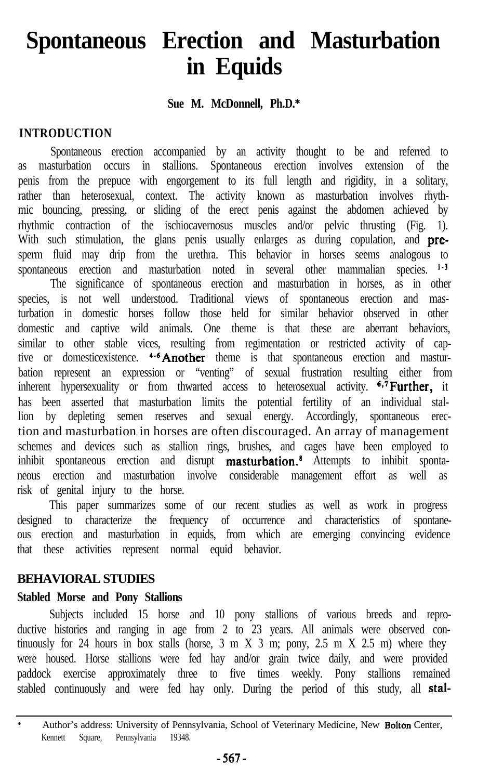# **Spontaneous Erection and Masturbation in Equids**

#### **Sue M. McDonnell, Ph.D.\***

## **INTRODUCTION**

Spontaneous erection accompanied by an activity thought to be and referred to as masturbation occurs in stallions. Spontaneous erection involves extension of the penis from the prepuce with engorgement to its full length and rigidity, in a solitary, rather than heterosexual, context. The activity known as masturbation involves rhythmic bouncing, pressing, or sliding of the erect penis against the abdomen achieved by rhythmic contraction of the ischiocavernosus muscles and/or pelvic thrusting (Fig. 1). With such stimulation, the glans penis usually enlarges as during copulation, and presperm fluid may drip from the urethra. This behavior in horses seems analogous to spontaneous erection and masturbation noted in several other mammalian species. <sup>1-3</sup> The significance of spontaneous erection and masturbation in horses, as in other species, is not well understood. Traditional views of spontaneous erection and masturbation in domestic horses follow those held for similar behavior observed in other domestic and captive wild animals. One theme is that these are aberrant behaviors, similar to other stable vices, resulting from regimentation or restricted activity of captive or domesticexistence. 4-6Another theme is that spontaneous erection and masturbation represent an expression or "venting" of sexual frustration resulting either from inherent hypersexuality or from thwarted access to heterosexual activity.  $6.7$  Further, it has been asserted that masturbation limits the potential fertility of an individual stallion by depleting semen reserves and sexual energy. Accordingly, spontaneous erection and masturbation in horses are often discouraged. An array of management schemes and devices such as stallion rings, brushes, and cages have been employed to inhibit spontaneous erection and disrupt masturbation.<sup>8</sup> Attempts to inhibit spontaneous erection and masturbation involve considerable management effort as well as risk of genital injury to the horse.

This paper summarizes some of our recent studies as well as work in progress designed to characterize the frequency of occurrence and characteristics of spontaneous erection and masturbation in equids, from which are emerging convincing evidence that these activities represent normal equid behavior.

#### **BEHAVIORAL STUDIES**

#### **Stabled Morse and Pony Stallions**

Subjects included 15 horse and 10 pony stallions of various breeds and reproductive histories and ranging in age from 2 to 23 years. All animals were observed continuously for 24 hours in box stalls (horse,  $3 \text{ m}$  X  $3 \text{ m}$ ; pony,  $2.5 \text{ m}$  X  $2.5 \text{ m}$ ) where they were housed. Horse stallions were fed hay and/or grain twice daily, and were provided paddock exercise approximately three to five times weekly. Pony stallions remained stabled continuously and were fed hay only. During the period of this study, all stal-

Author's address: University of Pennsylvania, School of Veterinary Medicine, New Bolton Center, Kennett Square, Pennsylvania 19348.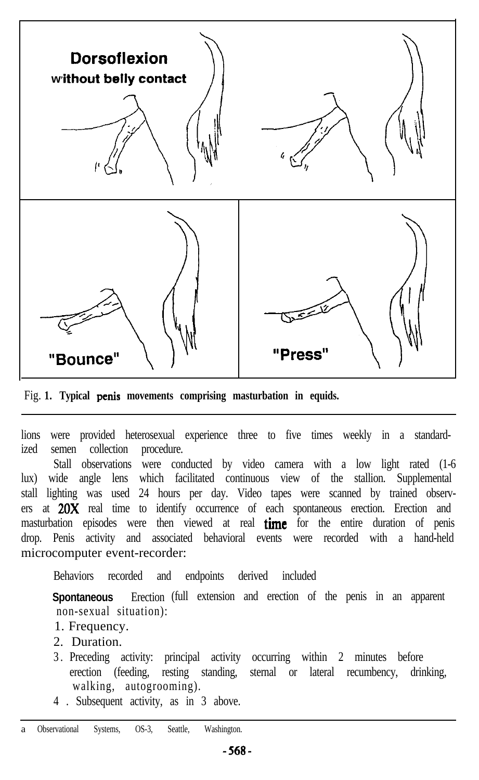

Fig. **1. Typical penis movements comprising masturbation in equids.**

lions were provided heterosexual experience three to five times weekly in a standardized semen collection procedure.

Stall observations were conducted by video camera with a low light rated (1-6 lux) wide angle lens which facilitated continuous view of the stallion. Supplemental stall lighting was used 24 hours per day. Video tapes were scanned by trained observers at 20X real time to identify occurrence of each spontaneous erection. Erection and masturbation episodes were then viewed at real time for the entire duration of penis drop. Penis activity and associated behavioral events were recorded with a hand-held microcomputer event-recorder:

Behaviors recorded and endpoints derived included

**Spontaneous** Erection (full extension and erection of the penis in an apparent non-sexual situation):

- 1. Frequency.
- 2. Duration.
- 3 . Preceding activity: principal activity occurring within 2 minutes before erection (feeding, resting standing, sternal or lateral recumbency, drinking, walking, autogrooming).
- 4 . Subsequent activity, as in 3 above.

a Observational Systems, OS-3, Seattle, Washington.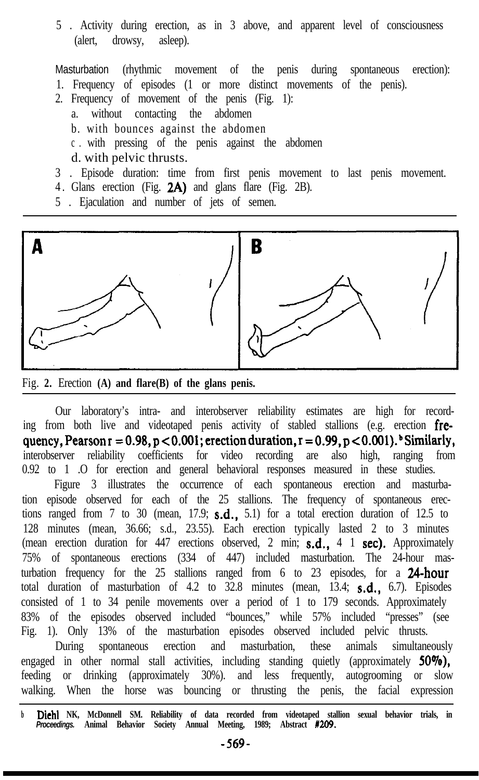5 . Activity during erection, as in 3 above, and apparent level of consciousness (alert, drowsy, asleep).

Masturbation (rhythmic movement of the penis during spontaneous erection):

- 1. Frequency of episodes (1 or more distinct movements of the penis).
- 2. Frequency of movement of the penis (Fig. 1):
	- a. without contacting the abdomen
	- b. with bounces against the abdomen
	- c . with pressing of the penis against the abdomen
	- d. with pelvic thrusts.
- 3 . Episode duration: time from first penis movement to last penis movement.
- 4 . Glans erection (Fig. 2A) and glans flare (Fig. 2B).
- 5 . Ejaculation and number of jets of semen.



Fig. **2.** Erection **(A) and flare(B) of the glans penis.**

Our laboratory's intra- and interobserver reliability estimates are high for recording from both live and videotaped penis activity of stabled stallions (e.g. erection frequency, Pearson  $r = 0.98$ ,  $p < 0.001$ ; erection duration,  $r = 0.99$ ,  $p < 0.001$ ). Similarly, interobserver reliability coefficients for video recording are also high, ranging from 0.92 to 1 .O for erection and general behavioral responses measured in these studies. Figure 3 illustrates the occurrence of each spontaneous erection and masturbation episode observed for each of the 25 stallions. The frequency of spontaneous erections ranged from 7 to 30 (mean,  $17.9$ ;  $\textbf{s.d.}$ ,  $5.1$ ) for a total erection duration of 12.5 to 128 minutes (mean, 36.66; s.d., 23.55). Each erection typically lasted 2 to 3 minutes (mean erection duration for  $447$  erections observed, 2 min; s.d., 4 1 sec). Approximately 75% of spontaneous erections (334 of 447) included masturbation. The 24-hour masturbation frequency for the 25 stallions ranged from 6 to 23 episodes, for a 24-hour total duration of masturbation of 4.2 to  $32.8$  minutes (mean,  $13.4$ ; **s.d.**, 6.7). Episodes consisted of 1 to 34 penile movements over a period of 1 to 179 seconds. Approximately 83% of the episodes observed included "bounces," while 57% included "presses" (see Fig. 1). Only 13% of the masturbation episodes observed included pelvic thrusts. During spontaneous erection and masturbation, these animals simultaneously

engaged in other normal stall activities, including standing quietly (approximately 50%), feeding or drinking (approximately 30%). and less frequently, autogrooming or slow walking. When the horse was bouncing or thrusting the penis, the facial expression

**<sup>b</sup> Diehl NK, McDonnell SM. Reliability of data recorded from videotaped stallion sexual behavior trials, in** *Proceedings.* **Animal Behavior Society Annual Meeting, 1989; Abstract IZO9.**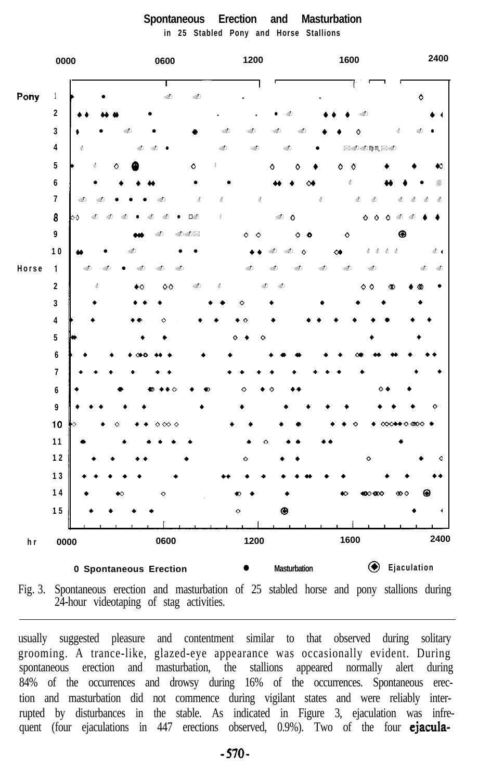

#### **Spontaneous Erection and Masturbation in 25 Stabled Pony and Horse Stallions**

Fig. 3. Spontaneous erection and masturbation of 25 stabled horse and pony stallions during 24-hour videotaping of stag activities.

usually suggested pleasure and contentment similar to that observed during solitary grooming. A trance-like, glazed-eye appearance was occasionally evident. During spontaneous erection and masturbation, the stallions appeared normally alert during 84% of the occurrences and drowsy during 16% of the occurrences. Spontaneous erection and masturbation did not commence during vigilant states and were reliably interrupted by disturbances in the stable. As indicated in Figure 3, ejaculation was infrequent (four ejaculations in 447 erections observed, 0.9%). Two of the four **ejacula-**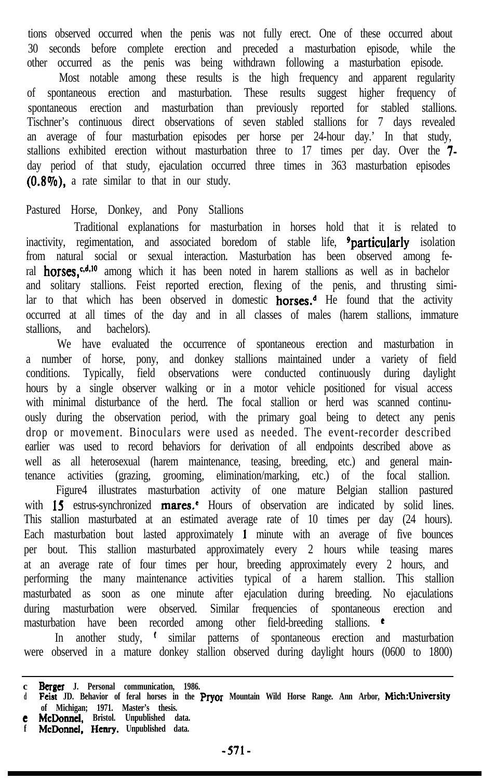tions observed occurred when the penis was not fully erect. One of these occurred about 30 seconds before complete erection and preceded a masturbation episode, while the other occurred as the penis was being withdrawn following a masturbation episode. Most notable among these results is the high frequency and apparent regularity of spontaneous erection and masturbation. These results suggest higher frequency of spontaneous erection and masturbation than previously reported for stabled stallions. Tischner's continuous direct observations of seven stabled stallions for 7 days revealed an average of four masturbation episodes per horse per 24-hour day.' In that study, stallions exhibited erection without masturbation three to 17 times per day. Over the 7 day period of that study, ejaculation occurred three times in 363 masturbation episodes (0.8%), a rate similar to that in our study.

#### Pastured Horse, Donkey, and Pony Stallions

Traditional explanations for masturbation in horses hold that it is related to inactivity, regimentation, and associated boredom of stable life, <sup>9</sup>particularly isolation from natural social or sexual interaction. Masturbation has been observed among feral **horses**,<sup>c,d,10</sup> among which it has been noted in harem stallions as well as in bachelor and solitary stallions. Feist reported erection, flexing of the penis, and thrusting similar to that which has been observed in domestic **horses.**<sup> $d$ </sup> He found that the activity occurred at all times of the day and in all classes of males (harem stallions, immature stallions, and bachelors).

We have evaluated the occurrence of spontaneous erection and masturbation in a number of horse, pony, and donkey stallions maintained under a variety of field conditions. Typically, field observations were conducted continuously during daylight hours by a single observer walking or in a motor vehicle positioned for visual access with minimal disturbance of the herd. The focal stallion or herd was scanned continuously during the observation period, with the primary goal being to detect any penis drop or movement. Binoculars were used as needed. The event-recorder described earlier was used to record behaviors for derivation of all endpoints described above as well as all heterosexual (harem maintenance, teasing, breeding, etc.) and general maintenance activities (grazing, grooming, elimination/marking, etc.) of the focal stallion.

Figure4 illustrates masturbation activity of one mature Belgian stallion pastured with  $15$  estrus-synchronized mares.<sup>\*</sup> Hours of observation are indicated by solid lines. This stallion masturbated at an estimated average rate of 10 times per day (24 hours). Each masturbation bout lasted approximately 1 minute with an average of five bounces per bout. This stallion masturbated approximately every 2 hours while teasing mares at an average rate of four times per hour, breeding approximately every 2 hours, and performing the many maintenance activities typical of a harem stallion. This stallion masturbated as soon as one minute after ejaculation during breeding. No ejaculations during masturbation were observed. Similar frequencies of spontaneous erection and masturbation have been recorded among other field-breeding stallions. <sup>e</sup>

In another study, <sup>t</sup> similar patterns of spontaneous erection and masturbation were observed in a mature donkey stallion observed during daylight hours (0600 to 1800)

**of Michigan; 1971. Master's thesis. e McDonnd, Bristol. Unpublished data. f McDonnel. Hemy. Unpublished data.**

**c Berger J.** Personal communication, 1986.<br>d **Feist JD.** Behavior of feral horses in the **Pryor** Mountain Wild Horse Range. Ann Arbor, **Mich:Unive**: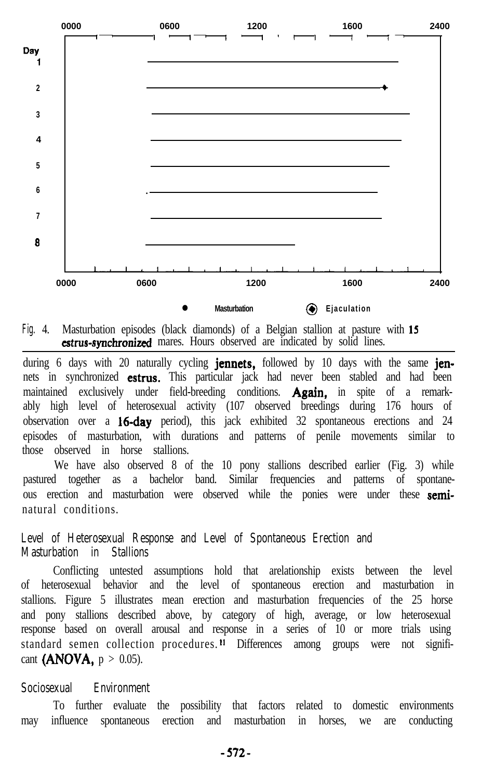

**Fig.** 4. Masturbation episodes (black diamonds) of a Belgian stallion at pasture with 15 **estrus-synchronized** mares. Hours observed are indicated by solid lines.

during 6 days with 20 naturally cycling **jennets**, followed by 10 days with the same jennets in synchronized **estrus.** This particular jack had never been stabled and had been maintained exclusively under field-breeding conditions. **Again**, in spite of a remarkably high level of heterosexual activity (107 observed breedings during 176 hours of observation over a **16-day** period), this jack exhibited 32 spontaneous erections and 24 episodes of masturbation, with durations and patterns of penile movements similar to those observed in horse stallions.

We have also observed 8 of the 10 pony stallions described earlier (Fig. 3) while pastured together as a bachelor band. Similar frequencies and patterns of spontaneous erection and masturbation were observed while the ponies were under these seminatural conditions.

# **Level of Heterosexual Response and Level of Spontaneous Erection and Masturbation in Stallions**

Conflicting untested assumptions hold that arelationship exists between the level of heterosexual behavior and the level of spontaneous erection and masturbation in stallions. Figure 5 illustrates mean erection and masturbation frequencies of the 25 horse and pony stallions described above, by category of high, average, or low heterosexual response based on overall arousal and response in a series of 10 or more trials using standard semen collection procedures.<sup>11</sup> Differences among groups were not significant (ANOVA,  $p > 0.05$ ).

#### **Sociosexual Environment**

To further evaluate the possibility that factors related to domestic environments may influence spontaneous erection and masturbation in horses, we are conducting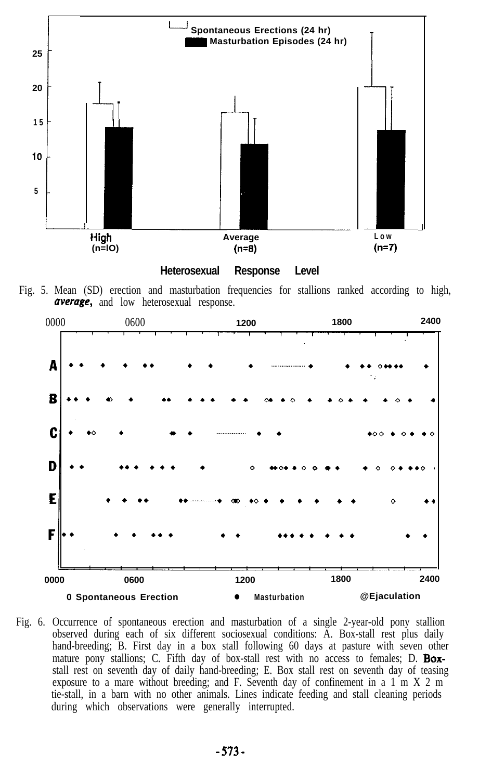



Fig. 5. Mean (SD) erection and masturbation frequencies for stallions ranked according to high, average, and low heterosexual response.



Fig. 6. Occurrence of spontaneous erection and masturbation of a single 2-year-old pony stallion observed during each of six different sociosexual conditions: A. Box-stall rest plus daily hand-breeding; B. First day in a box stall following 60 days at pasture with seven other mature pony stallions; C. Fifth day of box-stall rest with no access to females; D. Boxstall rest on seventh day of daily hand-breeding; E. Box stall rest on seventh day of teasing exposure to a mare without breeding; and F. Seventh day of confinement in a 1 m X 2 m tie-stall, in a barn with no other animals. Lines indicate feeding and stall cleaning periods during which observations were generally interrupted.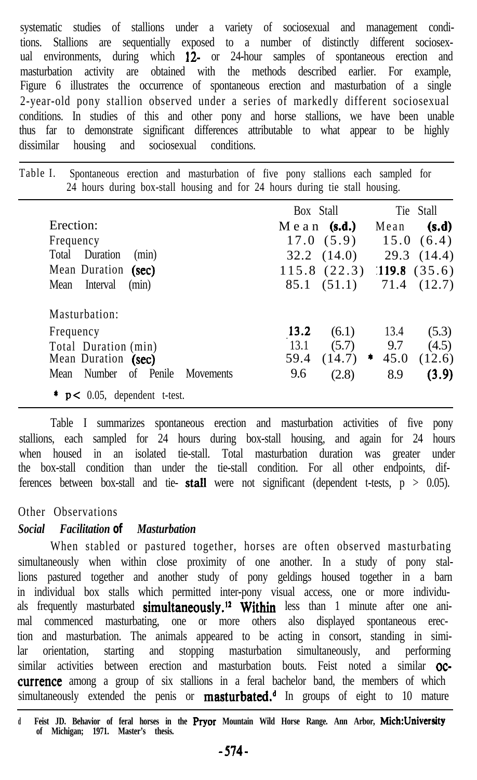systematic studies of stallions under a variety of sociosexual and management conditions. Stallions are sequentially exposed to a number of distinctly different sociosexual environments, during which 12- or 24-hour samples of spontaneous erection and masturbation activity are obtained with the methods described earlier. For example, Figure 6 illustrates the occurrence of spontaneous erection and masturbation of a single 2-year-old pony stallion observed under a series of markedly different sociosexual conditions. In studies of this and other pony and horse stallions, we have been unable thus far to demonstrate significant differences attributable to what appear to be highly dissimilar housing and sociosexual conditions.

Table I. Spontaneous erection and masturbation of five pony stallions each sampled for 24 hours during box-stall housing and for 24 hours during tie stall housing.

|                                              | Box Stall      | Tie Stall                       |
|----------------------------------------------|----------------|---------------------------------|
| Erection:                                    | $M$ ean (s.d.) | Mean<br>(s.d)                   |
| Frequency                                    | 17.0(5.9)      | 15.0(6.4)                       |
| Total Duration<br>(min)                      |                | $32.2$ $(14.0)$ $29.3$ $(14.4)$ |
| Mean Duration (sec)                          | 115.8(22.3)    | 119.8(35.6)                     |
| Interval<br>Mean<br>(min)                    | 85.1 (51.1)    | 71.4 (12.7)                     |
| Masturbation:                                |                |                                 |
| Frequency                                    | (6.1)<br>13.2  | 13.4<br>(5.3)                   |
| Total Duration (min)                         | 13.1<br>(5.7)  | 9.7<br>(4.5)                    |
| Mean Duration (sec)                          | 59.4<br>(14.7) | 45.0<br>(12.6)                  |
| Mean Number of Penile<br>Movements           | 9.6<br>(2.8)   | (3.9)<br>8.9                    |
| $\bullet$ <b>p</b> < 0.05, dependent t-test. |                |                                 |

Table I summarizes spontaneous erection and masturbation activities of five pony stallions, each sampled for  $24$  hours during box-stall housing, and again for 24 hours when housed in an isolated tie-stall. Total masturbation duration was greater under the box-stall condition than under the tie-stall condition. For all other endpoints, differences between box-stall and tie- stall were not significant (dependent t-tests,  $p > 0.05$ ).

# Other Observations

# *Social Facilitation of Masturbation*

When stabled or pastured together, horses are often observed masturbating simultaneously when within close proximity of one another. In a study of pony stallions pastured together and another study of pony geldings housed together in a barn in individual box stalls which permitted inter-pony visual access, one or more individuals frequently masturbated **simultaneously.<sup>12</sup> Within** less than 1 minute after one animal commenced masturbating, one or more others also displayed spontaneous erection and masturbation. The animals appeared to be acting in consort, standing in similar orientation, starting and stopping masturbation simultaneously, and performing similar activities between erection and masturbation bouts. Feist noted a similar **OC**currence among a group of six stallions in a feral bachelor band, the members of which simultaneously extended the penis or **masturbated.**<sup> $d$ </sup> In groups of eight to 10 mature

**<sup>d</sup> Feist JD. Behavior of feral horses in the Pryor Mountain Wild Horse Range. Ann Arbor, Mich:University of Michigan; 1971. Master's thesis.**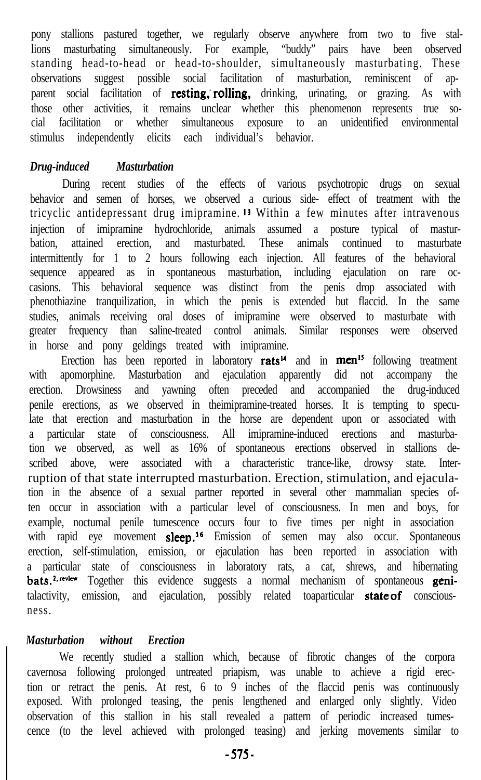pony stallions pastured together, we regularly observe anywhere from two to five stallions masturbating simultaneously. For example, "buddy" pairs have been observed standing head-to-head or head-to-shoulder, simultaneously masturbating. These observations suggest possible social facilitation of masturbation, reminiscent of apparent social facilitation of **resting, rolling,** drinking, urinating, or grazing. As with those other activities, it remains unclear whether this phenomenon represents true social facilitation or whether simultaneous exposure to an unidentified environmental stimulus independently elicits each individual's behavior.

# *Drug-induced Masturbation*

During recent studies of the effects of various psychotropic drugs on sexual behavior and semen of horses, we observed a curious side- effect of treatment with the tricyclic antidepressant drug imipramine. I3 Within a few minutes after intravenous injection of imipramine hydrochloride, animals assumed a posture typical of masturbation, attained erection, and masturbated. These animals continued to masturbate intermittently for 1 to 2 hours following each injection. All features of the behavioral sequence appeared as in spontaneous masturbation, including ejaculation on rare occasions. This behavioral sequence was distinct from the penis drop associated with phenothiazine tranquilization, in which the penis is extended but flaccid. In the same studies, animals receiving oral doses of imipramine were observed to masturbate with greater frequency than saline-treated control animals. Similar responses were observed in horse and pony geldings treated with imipramine.

Erection has been reported in laboratory rats<sup>14</sup> and in men<sup>15</sup> following treatment with apomorphine. Masturbation and ejaculation apparently did not accompany the erection. Drowsiness and yawning often preceded and accompanied the drug-induced penile erections, as we observed in theimipramine-treated horses. It is tempting to speculate that erection and masturbation in the horse are dependent upon or associated with a particular state of consciousness. All imipramine-induced erections and masturbation we observed, as well as 16% of spontaneous erections observed in stallions described above, were associated with a characteristic trance-like, drowsy state. Interruption of that state interrupted masturbation. Erection, stimulation, and ejaculation in the absence of a sexual partner reported in several other mammalian species often occur in association with a particular level of consciousness. In men and boys, for example, nocturnal penile tumescence occurs four to five times per night in association with rapid eye movement sleep.<sup>16</sup> Emission of semen may also occur. Spontaneous erection, self-stimulation, emission, or ejaculation has been reported in association with a particular state of consciousness in laboratory rats, a cat, shrews, and hibernating bats.<sup>2, review</sup> Together this evidence suggests a normal mechanism of spontaneous genitalactivity, emission, and ejaculation, possibly related toaparticular **state of** consciousness.

## *Masturbation without Erection*

We recently studied a stallion which, because of fibrotic changes of the corpora cavernosa following prolonged untreated priapism, was unable to achieve a rigid erection or retract the penis. At rest, 6 to 9 inches of the flaccid penis was continuously exposed. With prolonged teasing, the penis lengthened and enlarged only slightly. Video observation of this stallion in his stall revealed a pattern of periodic increased tumescence (to the level achieved with prolonged teasing) and jerking movements similar to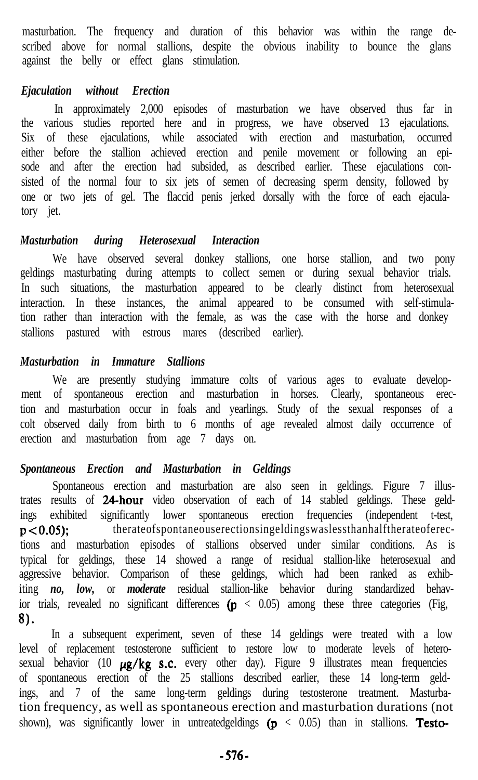masturbation. The frequency and duration of this behavior was within the range described above for normal stallions, despite the obvious inability to bounce the glans against the belly or effect glans stimulation.

#### *Ejaculation without Erection*

In approximately 2,000 episodes of masturbation we have observed thus far in the various studies reported here and in progress, we have observed 13 ejaculations. Six of these ejaculations, while associated with erection and masturbation, occurred either before the stallion achieved erection and penile movement or following an episode and after the erection had subsided, as described earlier. These ejaculations consisted of the normal four to six jets of semen of decreasing sperm density, followed by one or two jets of gel. The flaccid penis jerked dorsally with the force of each ejaculatory jet.

# *Masturbation during Heterosexual Interaction*

We have observed several donkey stallions, one horse stallion, and two pony geldings masturbating during attempts to collect semen or during sexual behavior trials. In such situations, the masturbation appeared to be clearly distinct from heterosexual interaction. In these instances, the animal appeared to be consumed with self-stimulation rather than interaction with the female, as was the case with the horse and donkey stallions pastured with estrous mares (described earlier).

## *Masturbation in Immature Stallions*

We are presently studying immature colts of various ages to evaluate development of spontaneous erection and masturbation in horses. Clearly, spontaneous erection and masturbation occur in foals and yearlings. Study of the sexual responses of a colt observed daily from birth to 6 months of age revealed almost daily occurrence of erection and masturbation from age 7 days on.

# *Spontaneous Erection and Masturbation in Geldings*

Spontaneous erection and masturbation are also seen in geldings. Figure 7 illustrates results of 24-hour video observation of each of 14 stabled geldings. These geldings exhibited significantly lower spontaneous erection frequencies (independent t-test, p<0.05); therateofspontaneouserectionsingeldingswaslessthanhalftherateoferections and masturbation episodes of stallions observed under similar conditions. As is typical for geldings, these 14 showed a range of residual stallion-like heterosexual and aggressive behavior. Comparison of these geldings, which had been ranked as exhibiting *no, low,* or *moderate* residual stallion-like behavior during standardized behavior trials, revealed no significant differences  $(p < 0.05)$  among these three categories (Fig, 8).

In a subsequent experiment, seven of these 14 geldings were treated with a low level of replacement testosterone sufficient to restore low to moderate levels of heterosexual behavior (10  $\mu$ g/kg s.c. every other day). Figure 9 illustrates mean frequencies of spontaneous erection of the 25 stallions described earlier, these 14 long-term geldings, and 7 of the same long-term geldings during testosterone treatment. Masturbation frequency, as well as spontaneous erection and masturbation durations (not shown), was significantly lower in untreatedgeldings  $(p < 0.05)$  than in stallions. Testo-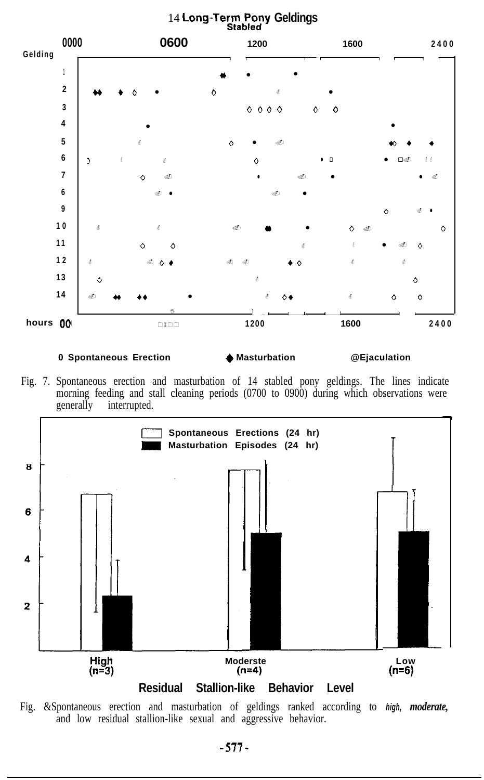

#### **0 Spontaneous Erection ● Masturbation ● @Ejaculation**

Fig. 7. Spontaneous erection and masturbation of 14 stabled pony geldings. The lines indicate morning feeding and stall cleaning periods (0700 to 0900) during which observations were generally interrupted.



Fig. &Spontaneous erection and masturbation of geldings ranked according to *high, moderate,* and low residual stallion-like sexual and aggressive behavior.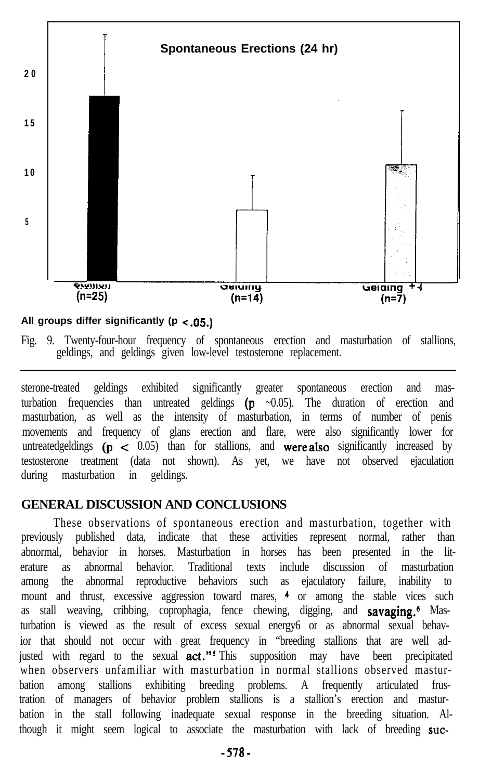

# **All groups differ significantly (p < .05.)**

Fig. 9. Twenty-four-hour frequency of spontaneous erection and masturbation of stallions, geldings, and geldings given low-level testosterone replacement.

sterone-treated geldings exhibited significantly greater spontaneous erection and masturbation frequencies than untreated geldings  $(p \sim 0.05)$ . The duration of erection and masturbation, as well as the intensity of masturbation, in terms of number of penis movements and frequency of glans erection and flare, were also significantly lower for untreatedgeldings  $(p < 0.05)$  than for stallions, and were also significantly increased by testosterone treatment (data not shown). As yet, we have not observed ejaculation during masturbation in geldings.

# **GENERAL DISCUSSION AND CONCLUSIONS**

These observations of spontaneous erection and masturbation, together with previously published data, indicate that these activities represent normal, rather than abnormal, behavior in horses. Masturbation in horses has been presented in the literature as abnormal behavior. Traditional texts include discussion of masturbation among the abnormal reproductive behaviors such as ejaculatory failure, inability to mount and thrust, excessive aggression toward mares, <sup>4</sup> or among the stable vices such as stall weaving, cribbing, coprophagia, fence chewing, digging, and **savaging.**<sup>6</sup> Masturbation is viewed as the result of excess sexual energy6 or as abnormal sexual behavior that should not occur with great frequency in "breeding stallions that are well adjusted with regard to the sexual **act."**<sup>5</sup> This supposition may have been precipitated when observers unfamiliar with masturbation in normal stallions observed masturbation among stallions exhibiting breeding problems. A frequently articulated frustration of managers of behavior problem stallions is a stallion's erection and masturbation in the stall following inadequate sexual response in the breeding situation. Although it might seem logical to associate the masturbation with lack of breeding suc-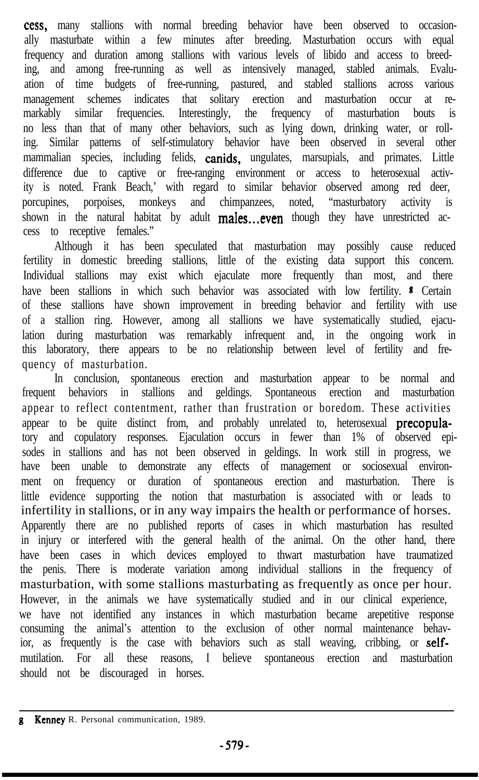cess, many stallions with normal breeding behavior have been observed to occasionally masturbate within a few minutes after breeding. Masturbation occurs with equal frequency and duration among stallions with various levels of libido and access to breeding, and among free-running as well as intensively managed, stabled animals. Evaluation of time budgets of free-running, pastured, and stabled stallions across various management schemes indicates that solitary erection and masturbation occur at remarkably similar frequencies. Interestingly, the frequency of masturbation bouts is no less than that of many other behaviors, such as lying down, drinking water, or rolling. Similar patterns of self-stimulatory behavior have been observed in several other mammalian species, including felids, **canids**, ungulates, marsupials, and primates. Little difference due to captive or free-ranging environment or access to heterosexual activity is noted. Frank Beach,' with regard to similar behavior observed among red deer, porcupines, porpoises, monkeys and chimpanzees, noted, "masturbatory activity is shown in the natural habitat by adult males...even though they have unrestricted access to receptive females."

Although it has been speculated that masturbation may possibly cause reduced fertility in domestic breeding stallions, little of the existing data support this concern. Individual stallions may exist which ejaculate more frequently than most, and there have been stallions in which such behavior was associated with low fertility. <sup>8</sup> Certain of these stallions have shown improvement in breeding behavior and fertility with use of a stallion ring. However, among all stallions we have systematically studied, ejaculation during masturbation was remarkably infrequent and, in the ongoing work in this laboratory, there appears to be no relationship between level of fertility and frequency of masturbation.

In conclusion, spontaneous erection and masturbation appear to be normal and frequent behaviors in stallions and geldings. Spontaneous erection and masturbation appear to reflect contentment, rather than frustration or boredom. These activities appear to be quite distinct from, and probably unrelated to, heterosexual **precopula**tory and copulatory responses. Ejaculation occurs in fewer than 1% of observed episodes in stallions and has not been observed in geldings. In work still in progress, we have been unable to demonstrate any effects of management or sociosexual environment on frequency or duration of spontaneous erection and masturbation. There is little evidence supporting the notion that masturbation is associated with or leads to infertility in stallions, or in any way impairs the health or performance of horses. Apparently there are no published reports of cases in which masturbation has resulted in injury or interfered with the general health of the animal. On the other hand, there have been cases in which devices employed to thwart masturbation have traumatized the penis. There is moderate variation among individual stallions in the frequency of masturbation, with some stallions masturbating as frequently as once per hour. However, in the animals we have systematically studied and in our clinical experience, we have not identified any instances in which masturbation became arepetitive response consuming the animal's attention to the exclusion of other normal maintenance behavior, as frequently is the case with behaviors such as stall weaving, cribbing, or selfmutilation. For all these reasons, I believe spontaneous erection and masturbation should not be discouraged in horses.

**g** Kenney R. Personal communication, 1989.